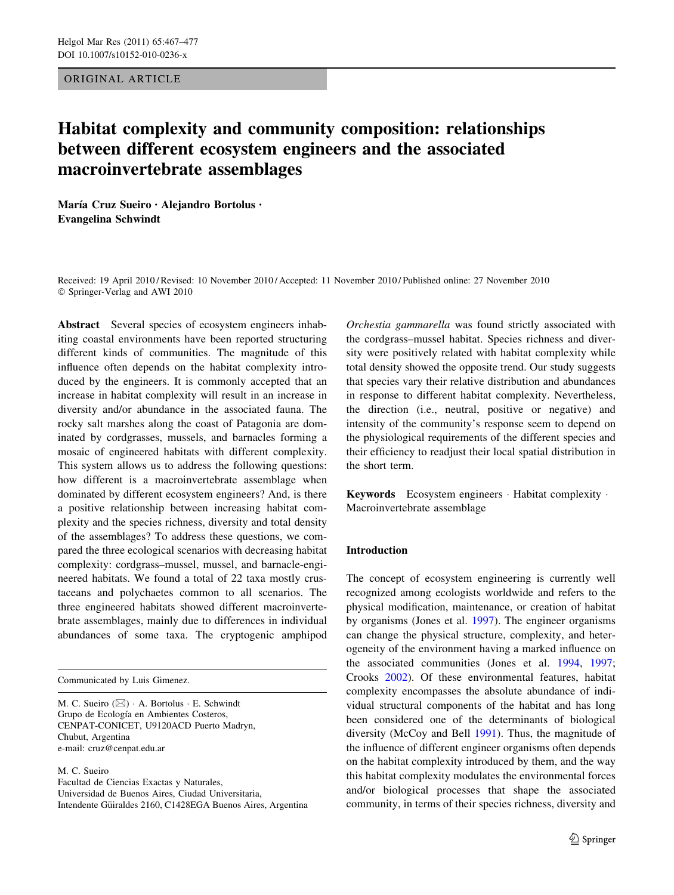## ORIGINAL ARTICLE

# Habitat complexity and community composition: relationships between different ecosystem engineers and the associated macroinvertebrate assemblages

María Cruz Sueiro · Alejandro Bortolus · Evangelina Schwindt

Received: 19 April 2010 / Revised: 10 November 2010 / Accepted: 11 November 2010 / Published online: 27 November 2010 © Springer-Verlag and AWI 2010

Abstract Several species of ecosystem engineers inhabiting coastal environments have been reported structuring different kinds of communities. The magnitude of this influence often depends on the habitat complexity introduced by the engineers. It is commonly accepted that an increase in habitat complexity will result in an increase in diversity and/or abundance in the associated fauna. The rocky salt marshes along the coast of Patagonia are dominated by cordgrasses, mussels, and barnacles forming a mosaic of engineered habitats with different complexity. This system allows us to address the following questions: how different is a macroinvertebrate assemblage when dominated by different ecosystem engineers? And, is there a positive relationship between increasing habitat complexity and the species richness, diversity and total density of the assemblages? To address these questions, we compared the three ecological scenarios with decreasing habitat complexity: cordgrass–mussel, mussel, and barnacle-engineered habitats. We found a total of 22 taxa mostly crustaceans and polychaetes common to all scenarios. The three engineered habitats showed different macroinvertebrate assemblages, mainly due to differences in individual abundances of some taxa. The cryptogenic amphipod

Communicated by Luis Gimenez.

M. C. Sueiro  $(\boxtimes) \cdot A$ . Bortolus  $\cdot E$ . Schwindt Grupo de Ecología en Ambientes Costeros, CENPAT-CONICET, U9120ACD Puerto Madryn, Chubut, Argentina e-mail: cruz@cenpat.edu.ar

M. C. Sueiro Facultad de Ciencias Exactas y Naturales, Universidad de Buenos Aires, Ciudad Universitaria, Intendente Güiraldes 2160, C1428EGA Buenos Aires, Argentina

Orchestia gammarella was found strictly associated with the cordgrass–mussel habitat. Species richness and diversity were positively related with habitat complexity while total density showed the opposite trend. Our study suggests that species vary their relative distribution and abundances in response to different habitat complexity. Nevertheless, the direction (i.e., neutral, positive or negative) and intensity of the community's response seem to depend on the physiological requirements of the different species and their efficiency to readjust their local spatial distribution in the short term.

Keywords Ecosystem engineers - Habitat complexity - Macroinvertebrate assemblage

## Introduction

The concept of ecosystem engineering is currently well recognized among ecologists worldwide and refers to the physical modification, maintenance, or creation of habitat by organisms (Jones et al. [1997\)](#page-10-0). The engineer organisms can change the physical structure, complexity, and heterogeneity of the environment having a marked influence on the associated communities (Jones et al. [1994,](#page-10-0) [1997](#page-10-0); Crooks [2002](#page-10-0)). Of these environmental features, habitat complexity encompasses the absolute abundance of individual structural components of the habitat and has long been considered one of the determinants of biological diversity (McCoy and Bell [1991](#page-10-0)). Thus, the magnitude of the influence of different engineer organisms often depends on the habitat complexity introduced by them, and the way this habitat complexity modulates the environmental forces and/or biological processes that shape the associated community, in terms of their species richness, diversity and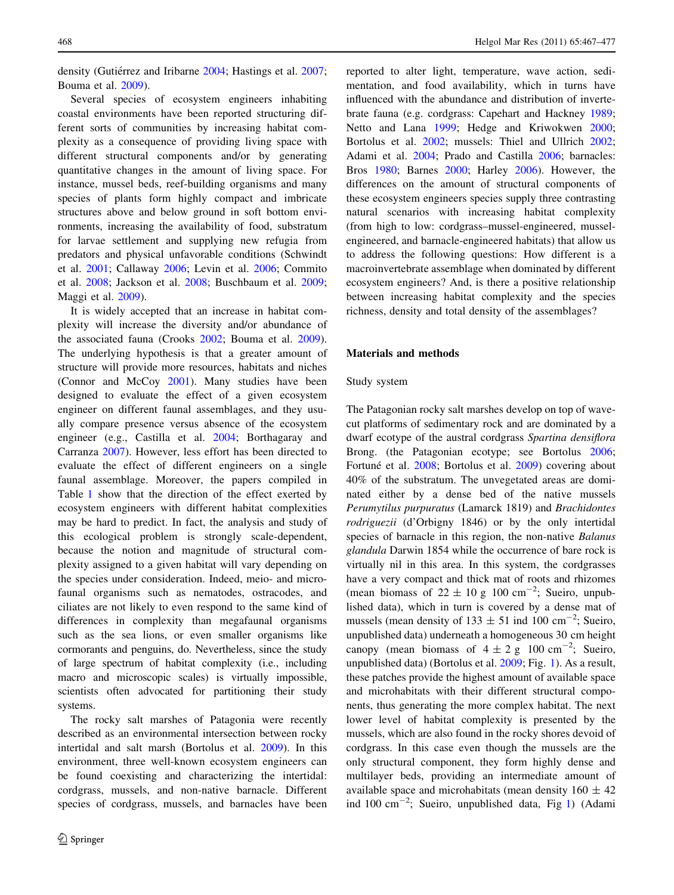density (Gutiérrez and Iribarne [2004](#page-10-0); Hastings et al. [2007](#page-10-0); Bouma et al. [2009\)](#page-9-0).

Several species of ecosystem engineers inhabiting coastal environments have been reported structuring different sorts of communities by increasing habitat complexity as a consequence of providing living space with different structural components and/or by generating quantitative changes in the amount of living space. For instance, mussel beds, reef-building organisms and many species of plants form highly compact and imbricate structures above and below ground in soft bottom environments, increasing the availability of food, substratum for larvae settlement and supplying new refugia from predators and physical unfavorable conditions (Schwindt et al. [2001](#page-10-0); Callaway [2006;](#page-9-0) Levin et al. [2006](#page-10-0); Commito et al. [2008;](#page-9-0) Jackson et al. [2008](#page-10-0); Buschbaum et al. [2009](#page-9-0); Maggi et al. [2009](#page-10-0)).

It is widely accepted that an increase in habitat complexity will increase the diversity and/or abundance of the associated fauna (Crooks [2002;](#page-10-0) Bouma et al. [2009](#page-9-0)). The underlying hypothesis is that a greater amount of structure will provide more resources, habitats and niches (Connor and McCoy [2001](#page-9-0)). Many studies have been designed to evaluate the effect of a given ecosystem engineer on different faunal assemblages, and they usually compare presence versus absence of the ecosystem engineer (e.g., Castilla et al. [2004](#page-9-0); Borthagaray and Carranza [2007\)](#page-9-0). However, less effort has been directed to evaluate the effect of different engineers on a single faunal assemblage. Moreover, the papers compiled in Table [1](#page-2-0) show that the direction of the effect exerted by ecosystem engineers with different habitat complexities may be hard to predict. In fact, the analysis and study of this ecological problem is strongly scale-dependent, because the notion and magnitude of structural complexity assigned to a given habitat will vary depending on the species under consideration. Indeed, meio- and microfaunal organisms such as nematodes, ostracodes, and ciliates are not likely to even respond to the same kind of differences in complexity than megafaunal organisms such as the sea lions, or even smaller organisms like cormorants and penguins, do. Nevertheless, since the study of large spectrum of habitat complexity (i.e., including macro and microscopic scales) is virtually impossible, scientists often advocated for partitioning their study systems.

The rocky salt marshes of Patagonia were recently described as an environmental intersection between rocky intertidal and salt marsh (Bortolus et al. [2009](#page-9-0)). In this environment, three well-known ecosystem engineers can be found coexisting and characterizing the intertidal: cordgrass, mussels, and non-native barnacle. Different species of cordgrass, mussels, and barnacles have been reported to alter light, temperature, wave action, sedimentation, and food availability, which in turns have influenced with the abundance and distribution of invertebrate fauna (e.g. cordgrass: Capehart and Hackney [1989](#page-9-0); Netto and Lana [1999](#page-10-0); Hedge and Kriwokwen [2000](#page-10-0); Bortolus et al. [2002;](#page-9-0) mussels: Thiel and Ullrich [2002](#page-10-0); Adami et al. [2004](#page-9-0); Prado and Castilla [2006;](#page-10-0) barnacles: Bros [1980;](#page-9-0) Barnes [2000](#page-9-0); Harley [2006](#page-10-0)). However, the differences on the amount of structural components of these ecosystem engineers species supply three contrasting natural scenarios with increasing habitat complexity (from high to low: cordgrass–mussel-engineered, musselengineered, and barnacle-engineered habitats) that allow us to address the following questions: How different is a macroinvertebrate assemblage when dominated by different ecosystem engineers? And, is there a positive relationship between increasing habitat complexity and the species richness, density and total density of the assemblages?

#### Materials and methods

## Study system

The Patagonian rocky salt marshes develop on top of wavecut platforms of sedimentary rock and are dominated by a dwarf ecotype of the austral cordgrass Spartina densiflora Brong. (the Patagonian ecotype; see Bortolus [2006](#page-9-0); Fortuné et al. [2008;](#page-10-0) Bortolus et al. [2009\)](#page-9-0) covering about 40% of the substratum. The unvegetated areas are dominated either by a dense bed of the native mussels Perumytilus purpuratus (Lamarck 1819) and Brachidontes rodriguezii (d'Orbigny 1846) or by the only intertidal species of barnacle in this region, the non-native Balanus glandula Darwin 1854 while the occurrence of bare rock is virtually nil in this area. In this system, the cordgrasses have a very compact and thick mat of roots and rhizomes (mean biomass of  $22 \pm 10$  g  $100 \text{ cm}^{-2}$ ; Sueiro, unpublished data), which in turn is covered by a dense mat of mussels (mean density of 133  $\pm$  51 ind 100 cm<sup>-2</sup>; Sueiro, unpublished data) underneath a homogeneous 30 cm height canopy (mean biomass of  $4 \pm 2$  g 100 cm<sup>-2</sup>; Sueiro, unpublished data) (Bortolus et al. [2009;](#page-9-0) Fig. [1](#page-4-0)). As a result, these patches provide the highest amount of available space and microhabitats with their different structural components, thus generating the more complex habitat. The next lower level of habitat complexity is presented by the mussels, which are also found in the rocky shores devoid of cordgrass. In this case even though the mussels are the only structural component, they form highly dense and multilayer beds, providing an intermediate amount of available space and microhabitats (mean density  $160 \pm 42$ ) ind 100 cm<sup>-2</sup>; Sueiro, unpublished data, Fig [1\)](#page-4-0) (Adami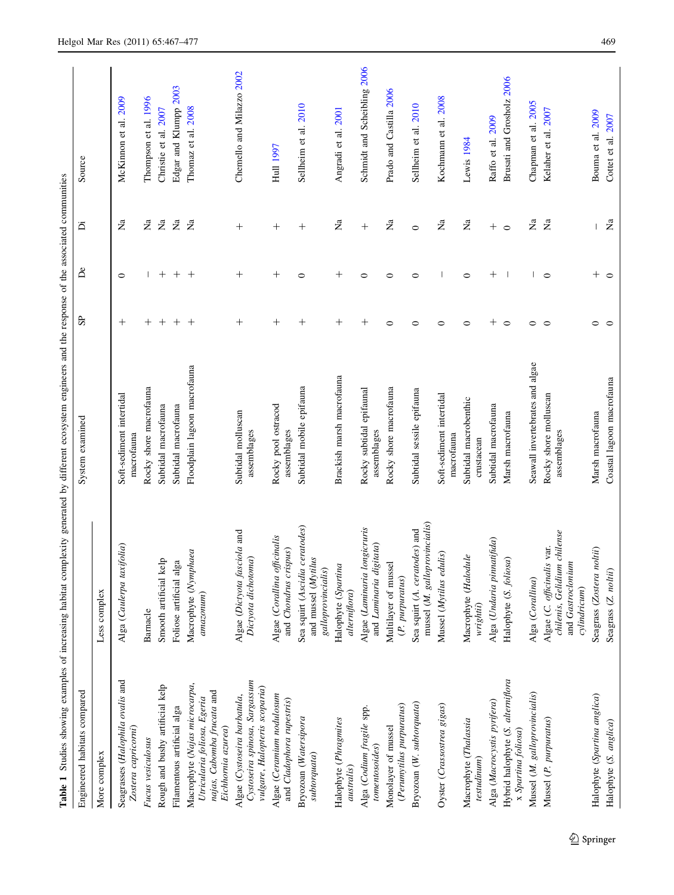<span id="page-2-0"></span>

|                                                                                                                  |                                                                                                | Table 1 Studies showing examples of increasing habitat complexity generated by different ecosystem engineers and the response of the associated communities |                    |                          |                            |                             |
|------------------------------------------------------------------------------------------------------------------|------------------------------------------------------------------------------------------------|-------------------------------------------------------------------------------------------------------------------------------------------------------------|--------------------|--------------------------|----------------------------|-----------------------------|
| Engineered habitats compared                                                                                     |                                                                                                | System examined                                                                                                                                             | $S_{\rm P}$        | ಗ್                       | Ä                          | Source                      |
| More complex                                                                                                     | Less complex                                                                                   |                                                                                                                                                             |                    |                          |                            |                             |
| Seagrasses (Halophila ovalis and<br>Zostera capricorni)                                                          | Alga (Caulerpa taxifolia)                                                                      | Soft-sediment intertidal<br>macrofauna                                                                                                                      | $^+$               | $\circ$                  | $\rm \Sigma a$             | McKinnon et al. 2009        |
| Fucus vesiculosus                                                                                                | Barnacle                                                                                       | Rocky shore macrofauna                                                                                                                                      | $^+$               |                          | $\tilde{\mathbf{z}}$       | Thompson et al. 1996        |
| Rough and bushy artificial kelp                                                                                  | Smooth artificial kelp                                                                         | Subtidal macrofauna                                                                                                                                         | $^{+}$             | $^{+}$                   | $\rm \stackrel{a}{\simeq}$ | Christie et al. 2007        |
| Filamentous artificial alga                                                                                      | Foliose artificial alga                                                                        | Subtidal macrofauna                                                                                                                                         | $^{+}$             | $^{+}$                   | $\overline{a}$             | Edgar and Klumpp 2003       |
| Macrophyte (Najas microcarpa,<br>najas, Cabomba frucata and<br>Utricularia foliosa, Egeria<br>Eichhornia azurea) | Macrophyte (Nymphaea<br>$a$ mazonum $)$                                                        | Floodplain lagoon macrofauna                                                                                                                                | $^{+}$             | $^{+}$                   | $\sum_{a}$                 | Thomaz et al. 2008          |
| Cystoseira spinosa, Sargassum<br>vulgare, Halopteris scoparia)<br>Algae (Cystoseira barbatula,                   | Algae (Dictyota fasciola and<br>Dictyota dichotoma)                                            | Subtidal molluscan<br>assemblages                                                                                                                           | $\hspace{0.1mm} +$ | $\hspace{0.1mm} +$       | $\hspace{0.1mm} +$         | Chemello and Milazzo 2002   |
| Algae (Ceramium nodulosum<br>and Cladophora rupestris)                                                           | officinalis<br>and Chondrus crispus)<br>Algae (Corallina                                       | Rocky pool ostracod<br>assemblages                                                                                                                          | $^+$               | $^+$                     | $^+$                       | Hull 1997                   |
| Bryozoan (Watersipora<br>subtorquata)                                                                            | Sea squitt (Ascidia ceratodes)<br>and mussel (Mytilus<br>galloprovincialis)                    | Subtidal mobile epifauna                                                                                                                                    | $^+$               | $\circ$                  | $^+$                       | Sellheim et al. 2010        |
| Halophyte (Phragmites<br>australis)                                                                              | Halophyte (Spartina<br>$\vcenter{d}$ terniflora)                                               | Brackish marsh macrofauna                                                                                                                                   | $^+$               | $^+$                     | $\tilde{\mathbf{z}}$       | Angradi et al. 2001         |
| Alga (Codium fragile spp.<br>tomentosoides)                                                                      | Algae (Laminaria longicruris<br>and Laminaria digitata)                                        | Rocky subtidal epifaunal<br>assemblages                                                                                                                     | $^+$               | $\circ$                  | $^{+}$                     | Schmidt and Scheibling 2006 |
| (Perunytilus purpuratus)<br>Monolayer of mussel                                                                  | Multilayer of mussel<br>(P. purpuratus)                                                        | Rocky shore macrofauna                                                                                                                                      | $\circ$            | 0                        | $\tilde{Z}$                | Prado and Castilla 2006     |
| Bryozoan (W. subtorquata)                                                                                        | mussel (M. galloprovincialis)<br>Sea squirt (A. ceratodes) and                                 | Subtidal sessile epifauna                                                                                                                                   | ∊                  | $\circ$                  | $\circ$                    | Sellheim et al. 2010        |
| Oyster (Crassostrea gigas)                                                                                       | Mussel (Mytilus edulis)                                                                        | Soft-sediment intertidal<br>macrofauna                                                                                                                      | ∊                  |                          | $\sum_{a}$                 | Kochmann et al. 2008        |
| Macrophyte (Thalassia<br>testudinum)                                                                             | Macrophyte (Halodule<br>wrightii)                                                              | Subtidal macrobenthic<br>crustacean                                                                                                                         | 0                  | $\circ$                  | $\tilde{\mathbf{z}}$       | Lewis 1984                  |
| Alga (Macrocystis pyrifera)                                                                                      | Alga (Undaria pinnatifida)                                                                     | Subtidal macrofauna                                                                                                                                         | $\, + \,$          | $^+$                     | $^{+}$                     | Raffo et al. 2009           |
| Hybrid halophyte (S. alterniflora<br>x Spartina foliosa)                                                         | Halophyte (S. foliosa)                                                                         | Marsh macrofauna                                                                                                                                            | $\circ$            | $\overline{\phantom{a}}$ | $\circ$                    | Brusati and Grosholz 2006   |
| Mussel (M. galloprovincialis)                                                                                    | Alga (Corallina)                                                                               | Seawall invertebrates and algae                                                                                                                             | 0                  |                          | <b>Z</b>                   | Chapman et al. 2005         |
| Mussel (P. purpuratus)                                                                                           | chilenis, Gelidium chilense<br>Algae (C. officinalis var.<br>and Gastroclonium<br>cylindricum) | Rocky shore molluscan<br>assemblages                                                                                                                        | $\circ$            | $\circ$                  | $\tilde{z}$                | Kelaher et al. 2007         |
| Halophyte (Spartina anglica)                                                                                     | Seagrass (Zostera noltii)                                                                      | Marsh macrofauna                                                                                                                                            | 0                  | $\hspace{0.1mm} +$       |                            | Bouma et al. 2009           |
| Halophyte (S. anglica)                                                                                           | Seagrass (Z noltii)                                                                            | Coastal lagoon macrofauna                                                                                                                                   | $\circ$            | $\circ$                  | $\rm \Sigma a$             | Cottet et al. 2007          |

 $\underline{\textcircled{\tiny 2}}$  Springer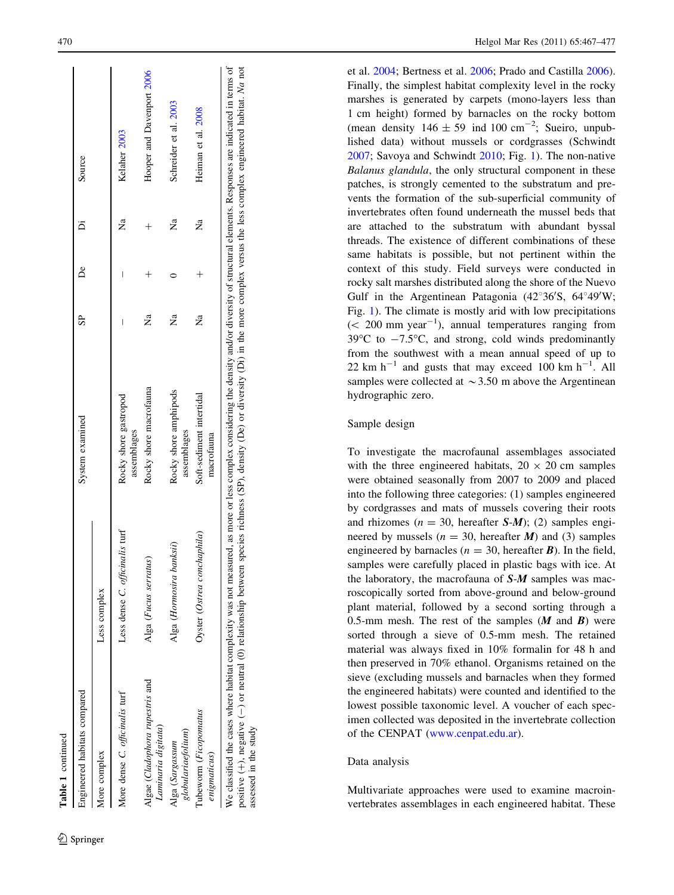| ۰, |
|----|
|    |
|    |

| Engineered habitats compared<br>Table 1 continued      |                                                                                                                                                                                                                                                                                                                                                                                                | System examined                        | 9  | ىم |   | Source                    |
|--------------------------------------------------------|------------------------------------------------------------------------------------------------------------------------------------------------------------------------------------------------------------------------------------------------------------------------------------------------------------------------------------------------------------------------------------------------|----------------------------------------|----|----|---|---------------------------|
| More complex                                           | Less complex                                                                                                                                                                                                                                                                                                                                                                                   |                                        |    |    |   |                           |
| More dense C. officinalis turf                         | Less dense C. officinalis turf                                                                                                                                                                                                                                                                                                                                                                 | Rocky shore gastropod<br>assemblages   |    | I  | Ž | Kelaher <sub>2003</sub>   |
| Algae (Cladophora rupestris and<br>Laminaria digitata) | Alga (Fucus serratus)                                                                                                                                                                                                                                                                                                                                                                          | Rocky shore macrofauna                 | Žã |    |   | Hooper and Davenport 2006 |
| globulariaefolium)<br>Alga (Sargassum                  | banksii)<br>Alga (Hormosira                                                                                                                                                                                                                                                                                                                                                                    | Rocky shore amphipods<br>assemblages   | ž  |    | Ž | Schreider et al. 2003     |
| Tubeworm (Ficopomatus<br>enigmaticus)                  | Oyster (Ostrea conchaphila)                                                                                                                                                                                                                                                                                                                                                                    | Soft-sediment intertidal<br>macrofauna | Ž  |    | Ž | Heiman et al. 2008        |
| assessed in the study                                  | We classified the cases where habitat complexity was not measured, as more or less complex considering the density and/or diversity of structural elements. Responses are indicated in terms of<br>positive (+), negative (-) or neutral (0) relationship between species richness (SP), density (De) or diversity (Di) in the more complex versus the less complex engineered habitat. Na not |                                        |    |    |   |                           |

et al. [2004;](#page-9-0) Bertness et al. [2006;](#page-9-0) Prado and Castilla [2006](#page-10-0)). Finally, the simplest habitat complexity level in the rocky marshes is generated by carpets (mono-layers less than 1 cm height) formed by barnacles on the rocky bottom (mean density  $146 \pm 59$  ind  $100 \text{ cm}^{-2}$ ; Sueiro, unpublished data) without mussels or cordgrasses (Schwindt [2007](#page-10-0); Savoya and Schwindt [2010;](#page-10-0) Fig. [1\)](#page-4-0). The non-native Balanus glandula, the only structural component in these patches, is strongly cemented to the substratum and prevents the formation of the sub-superficial community of invertebrates often found underneath the mussel beds that are attached to the substratum with abundant byssal threads. The existence of different combinations of these same habitats is possible, but not pertinent within the context of this study. Field surveys were conducted in rocky salt marshes distributed along the shore of the Nuevo Gulf in the Argentinean Patagonia (42°36'S, 64°49'W; Fig. [1](#page-4-0)). The climate is mostly arid with low precipitations  $\approx 200$  mm year<sup>-1</sup>), annual temperatures ranging from  $39^{\circ}$ C to  $-7.5^{\circ}$ C, and strong, cold winds predominantly from the southwest with a mean annual speed of up to 22 km  $h^{-1}$  and gusts that may exceed 100 km  $h^{-1}$ . All samples were collected at  $\sim$  3.50 m above the Argentinean hydrographic zero.

## Sample design

To investigate the macrofaunal assemblages associated with the three engineered habitats,  $20 \times 20$  cm samples were obtained seasonally from 2007 to 2009 and placed into the following three categories: (1) samples engineered by cordgrasses and mats of mussels covering their roots and rhizomes ( $n = 30$ , hereafter S-M); (2) samples engineered by mussels ( $n = 30$ , hereafter M) and (3) samples engineered by barnacles ( $n = 30$ , hereafter **B**). In the field, samples were carefully placed in plastic bags with ice. At the laboratory, the macrofauna of  $S-M$  samples was macroscopically sorted from above-ground and below-ground plant material, followed by a second sorting through a 0.5-mm mesh. The rest of the samples  $(M \text{ and } B)$  were sorted through a sieve of 0.5-mm mesh. The retained material was always fixed in 10% formalin for 48 h and then preserved in 70% ethanol. Organisms retained on the sieve (excluding mussels and barnacles when they formed the engineered habitats) were counted and identified to the lowest possible taxonomic level. A voucher of each specimen collected was deposited in the invertebrate collection of the CENPAT ([www.cenpat.edu.ar](http://www.cenpat.edu.ar)).

## Data analysis

Multivariate approaches were used to examine macroinvertebrates assemblages in each engineered habitat. These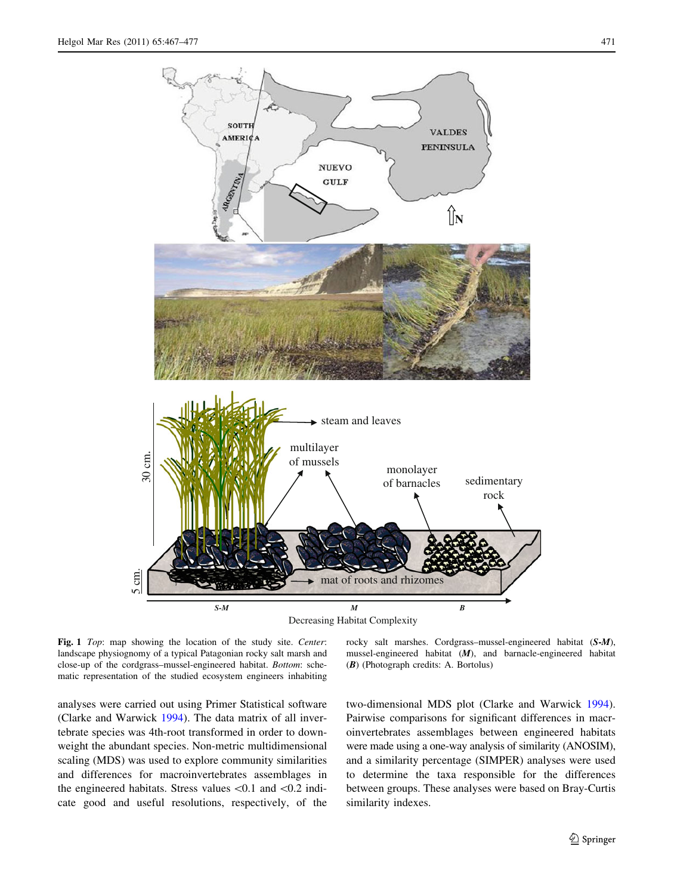<span id="page-4-0"></span>

Decreasing Habitat Complexity

Fig. 1 Top: map showing the location of the study site. Center: landscape physiognomy of a typical Patagonian rocky salt marsh and close-up of the cordgrass–mussel-engineered habitat. Bottom: schematic representation of the studied ecosystem engineers inhabiting

analyses were carried out using Primer Statistical software (Clarke and Warwick [1994](#page-9-0)). The data matrix of all invertebrate species was 4th-root transformed in order to downweight the abundant species. Non-metric multidimensional scaling (MDS) was used to explore community similarities and differences for macroinvertebrates assemblages in the engineered habitats. Stress values  $\langle 0.1 \rangle$  and  $\langle 0.2 \rangle$  indicate good and useful resolutions, respectively, of the

rocky salt marshes. Cordgrass–mussel-engineered habitat (S-M), mussel-engineered habitat (M), and barnacle-engineered habitat (B) (Photograph credits: A. Bortolus)

two-dimensional MDS plot (Clarke and Warwick [1994](#page-9-0)). Pairwise comparisons for significant differences in macroinvertebrates assemblages between engineered habitats were made using a one-way analysis of similarity (ANOSIM), and a similarity percentage (SIMPER) analyses were used to determine the taxa responsible for the differences between groups. These analyses were based on Bray-Curtis similarity indexes.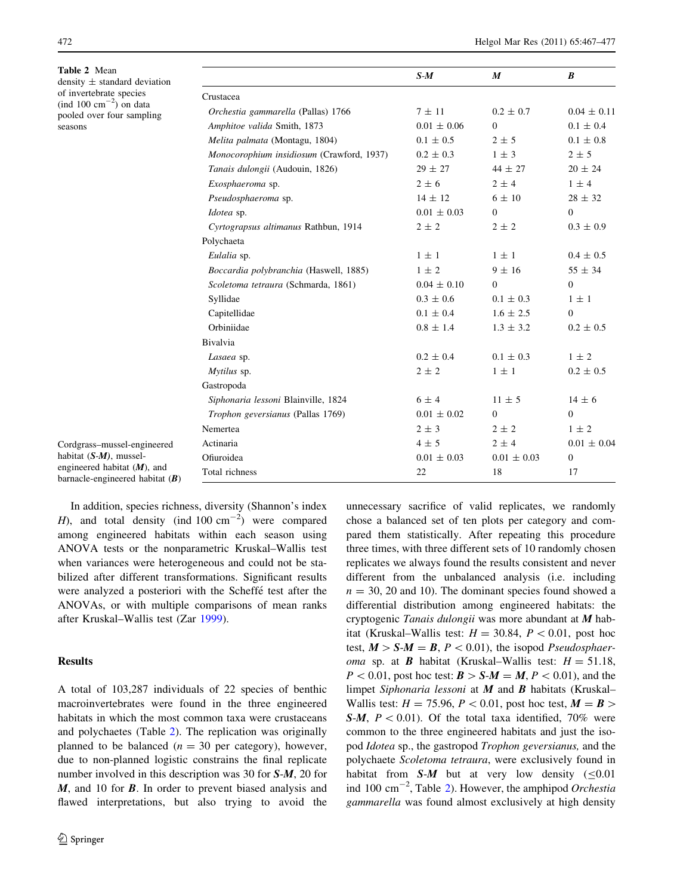<span id="page-5-0"></span>

| Table 2 Mean<br>density $\pm$ standard deviation                              |                                           | $S-M$           | $\boldsymbol{M}$ | $\boldsymbol{B}$ |
|-------------------------------------------------------------------------------|-------------------------------------------|-----------------|------------------|------------------|
| of invertebrate species                                                       | Crustacea                                 |                 |                  |                  |
| (ind 100 cm <sup><math>-2</math></sup> ) on data<br>pooled over four sampling | Orchestia gammarella (Pallas) 1766        | $7 \pm 11$      | $0.2 \pm 0.7$    | $0.04 \pm 0.11$  |
| seasons                                                                       | Amphitoe valida Smith, 1873               | $0.01 \pm 0.06$ | $\Omega$         | $0.1 \pm 0.4$    |
|                                                                               | Melita palmata (Montagu, 1804)            | $0.1 \pm 0.5$   | $2 \pm 5$        | $0.1 \pm 0.8$    |
|                                                                               | Monocorophium insidiosum (Crawford, 1937) | $0.2 \pm 0.3$   | $1 \pm 3$        | $2 \pm 5$        |
|                                                                               | Tanais dulongii (Audouin, 1826)           | $29 \pm 27$     | $44 \pm 27$      | $20 \pm 24$      |
|                                                                               | Exosphaeroma sp.                          | $2\pm 6$        | $2 \pm 4$        | $1 \pm 4$        |
|                                                                               | Pseudosphaeroma sp.                       | $14 \pm 12$     | $6 \pm 10$       | $28 \pm 32$      |
|                                                                               | Idotea sp.                                | $0.01 \pm 0.03$ | $\mathbf{0}$     | $\mathbf{0}$     |
|                                                                               | Cyrtograpsus altimanus Rathbun, 1914      | $2 \pm 2$       | $2 \pm 2$        | $0.3 \pm 0.9$    |
|                                                                               | Polychaeta                                |                 |                  |                  |
|                                                                               | Eulalia sp.                               | $1\,\pm\,1$     | $1 \pm 1$        | $0.4 \pm 0.5$    |
|                                                                               | Boccardia polybranchia (Haswell, 1885)    | $1 \pm 2$       | $9 \pm 16$       | $55 \pm 34$      |
|                                                                               | Scoletoma tetraura (Schmarda, 1861)       | $0.04 \pm 0.10$ | $\Omega$         | $\Omega$         |
|                                                                               | Syllidae                                  | $0.3 \pm 0.6$   | $0.1 \pm 0.3$    | $1 \pm 1$        |
|                                                                               | Capitellidae                              | $0.1 \pm 0.4$   | $1.6 \pm 2.5$    | $\Omega$         |
|                                                                               | Orbiniidae                                | $0.8 \pm 1.4$   | $1.3 \pm 3.2$    | $0.2 \pm 0.5$    |
|                                                                               | Bivalvia                                  |                 |                  |                  |
|                                                                               | Lasaea sp.                                | $0.2 \pm 0.4$   | $0.1 \pm 0.3$    | $1 \pm 2$        |
|                                                                               | Mytilus sp.                               | $2 \pm 2$       | $1 \pm 1$        | $0.2 \pm 0.5$    |
|                                                                               | Gastropoda                                |                 |                  |                  |
|                                                                               | Siphonaria lessoni Blainville, 1824       | $6\pm4$         | $11 \pm 5$       | $14 \pm 6$       |
|                                                                               | Trophon geversianus (Pallas 1769)         | $0.01 \pm 0.02$ | $\mathbf{0}$     | $\mathbf{0}$     |
|                                                                               | Nemertea                                  | $2 \pm 3$       | $2 \pm 2$        | $1 \pm 2$        |
| Cordgrass-mussel-engineered                                                   | Actinaria                                 | $4 \pm 5$       | $2 \pm 4$        | $0.01 \pm 0.04$  |
| habitat $(S-M)$ , mussel-                                                     | Ofiuroidea                                | $0.01 \pm 0.03$ | $0.01 \pm 0.03$  | $\boldsymbol{0}$ |
| engineered habitat $(M)$ , and<br>barnacle-engineered habitat $(B)$           | Total richness                            | 22              | 18               | 17               |

Cordgrass–mussel-engin habitat (S-M), musselengineered habitat  $(M)$ , barnacle-engineered hab

In addition, species richness, diversity (Shannon's index H), and total density (ind 100 cm<sup>-2</sup>) were compared among engineered habitats within each season using ANOVA tests or the nonparametric Kruskal–Wallis test when variances were heterogeneous and could not be stabilized after different transformations. Significant results were analyzed a posteriori with the Scheffé test after the ANOVAs, or with multiple comparisons of mean ranks after Kruskal–Wallis test (Zar [1999\)](#page-10-0).

## Results

A total of 103,287 individuals of 22 species of benthic macroinvertebrates were found in the three engineered habitats in which the most common taxa were crustaceans and polychaetes (Table 2). The replication was originally planned to be balanced ( $n = 30$  per category), however, due to non-planned logistic constrains the final replicate number involved in this description was 30 for S-M, 20 for  $M$ , and 10 for  $B$ . In order to prevent biased analysis and flawed interpretations, but also trying to avoid the

unnecessary sacrifice of valid replicates, we randomly chose a balanced set of ten plots per category and compared them statistically. After repeating this procedure three times, with three different sets of 10 randomly chosen replicates we always found the results consistent and never different from the unbalanced analysis (i.e. including  $n = 30, 20$  and 10). The dominant species found showed a differential distribution among engineered habitats: the cryptogenic Tanais dulongii was more abundant at M habitat (Kruskal–Wallis test:  $H = 30.84$ ,  $P < 0.01$ , post hoc test,  $M > S-M = B$ ,  $P \lt 0.01$ ), the isopod *Pseudosphaeroma* sp. at **B** habitat (Kruskal–Wallis test:  $H = 51.18$ ,  $P < 0.01$ , post hoc test:  $\mathbf{B} > \mathbf{S-M} = \mathbf{M}, P < 0.01$ , and the limpet Siphonaria lessoni at  $M$  and  $B$  habitats (Kruskal– Wallis test:  $H = 75.96$ ,  $P < 0.01$ , post hoc test,  $M = B$ S-M,  $P < 0.01$ ). Of the total taxa identified, 70% were common to the three engineered habitats and just the isopod Idotea sp., the gastropod Trophon geversianus, and the polychaete Scoletoma tetraura, were exclusively found in habitat from  $S-M$  but at very low density (<0.01) ind 100 cm<sup>-2</sup>, Table 2). However, the amphipod Orchestia gammarella was found almost exclusively at high density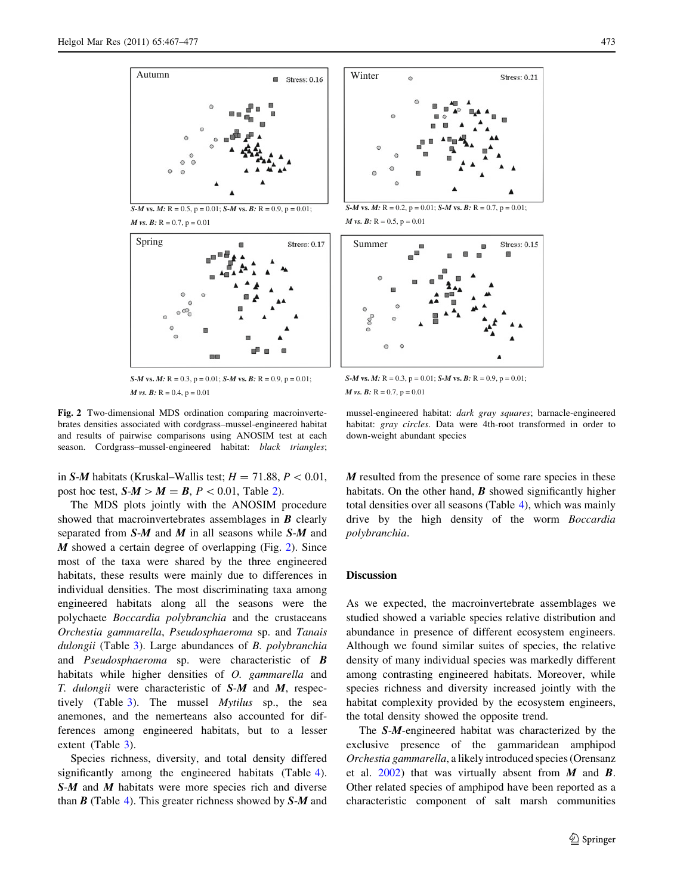

 $S-M$  **vs.**  $M: R = 0.5, p = 0.01; S-M$  **vs.**  $B: R = 0.9, p = 0.01;$ *M vs. B:* R = 0.7, p = 0.01



*S-M* **vs.** *M:* R = 0.3, p = 0.01; *S-M* **vs.** *B:* R = 0.9, p = 0.01; *M vs. B:* R = 0.4, p = 0.01

Fig. 2 Two-dimensional MDS ordination comparing macroinvertebrates densities associated with cordgrass–mussel-engineered habitat and results of pairwise comparisons using ANOSIM test at each season. Cordgrass–mussel-engineered habitat: black triangles;

in S-M habitats (Kruskal–Wallis test;  $H = 71.88$ ,  $P < 0.01$ , post hoc test,  $S-M > M = B$ ,  $P < 0.01$ , Table [2\)](#page-5-0).

The MDS plots jointly with the ANOSIM procedure showed that macroinvertebrates assemblages in  $\boldsymbol{B}$  clearly separated from  $S-M$  and M in all seasons while  $S-M$  and  $M$  showed a certain degree of overlapping (Fig. 2). Since most of the taxa were shared by the three engineered habitats, these results were mainly due to differences in individual densities. The most discriminating taxa among engineered habitats along all the seasons were the polychaete Boccardia polybranchia and the crustaceans Orchestia gammarella, Pseudosphaeroma sp. and Tanais dulongii (Table [3\)](#page-7-0). Large abundances of B. polybranchia and Pseudosphaeroma sp. were characteristic of B habitats while higher densities of O. gammarella and *T. dulongii* were characteristic of  $S-M$  and  $M$ , respectively (Table [3](#page-7-0)). The mussel Mytilus sp., the sea anemones, and the nemerteans also accounted for differences among engineered habitats, but to a lesser extent (Table [3\)](#page-7-0).

Species richness, diversity, and total density differed significantly among the engineered habitats (Table [4](#page-8-0)). S-M and M habitats were more species rich and diverse than  $B$  (Table [4\)](#page-8-0). This greater richness showed by  $S-M$  and



*S-M* **vs.** *M:* R = 0.2, p = 0.01; *S-M* **vs.** *B:* R = 0.7, p = 0.01; *M vs. B*:  $R = 0.5$ ,  $p = 0.01$ 



*S-M* **vs.** *M:* R = 0.3, p = 0.01; *S-M* **vs.** *B:* R = 0.9, p = 0.01; *M vs. B:*  $R = 0.7$ ,  $p = 0.01$ 

mussel-engineered habitat: dark gray squares; barnacle-engineered habitat: gray circles. Data were 4th-root transformed in order to down-weight abundant species

M resulted from the presence of some rare species in these habitats. On the other hand,  $\boldsymbol{B}$  showed significantly higher total densities over all seasons (Table [4\)](#page-8-0), which was mainly drive by the high density of the worm Boccardia polybranchia.

### **Discussion**

As we expected, the macroinvertebrate assemblages we studied showed a variable species relative distribution and abundance in presence of different ecosystem engineers. Although we found similar suites of species, the relative density of many individual species was markedly different among contrasting engineered habitats. Moreover, while species richness and diversity increased jointly with the habitat complexity provided by the ecosystem engineers, the total density showed the opposite trend.

The S-M-engineered habitat was characterized by the exclusive presence of the gammaridean amphipod Orchestia gammarella, a likely introduced species (Orensanz et al. [2002](#page-10-0)) that was virtually absent from  $M$  and  $B$ . Other related species of amphipod have been reported as a characteristic component of salt marsh communities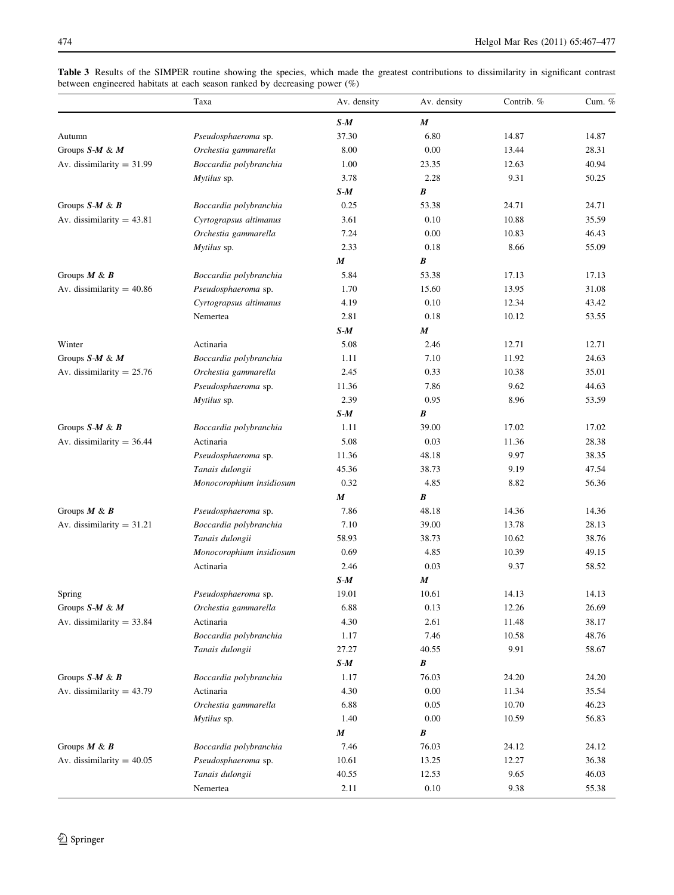|                                                                                                                                                                  | Taxa                                                                                                                                                                                                                                                                                                                                                                                                                                                                                                                                                                                                                                                                                                                                                                                                                                                                                                                                                                                                                                                                                                                                                                                                                                                                                                                                                                                                                                                                                                                                                                                                                                                                                                                | Av. density | Av. density      | Contrib. % | Cum. % |
|------------------------------------------------------------------------------------------------------------------------------------------------------------------|---------------------------------------------------------------------------------------------------------------------------------------------------------------------------------------------------------------------------------------------------------------------------------------------------------------------------------------------------------------------------------------------------------------------------------------------------------------------------------------------------------------------------------------------------------------------------------------------------------------------------------------------------------------------------------------------------------------------------------------------------------------------------------------------------------------------------------------------------------------------------------------------------------------------------------------------------------------------------------------------------------------------------------------------------------------------------------------------------------------------------------------------------------------------------------------------------------------------------------------------------------------------------------------------------------------------------------------------------------------------------------------------------------------------------------------------------------------------------------------------------------------------------------------------------------------------------------------------------------------------------------------------------------------------------------------------------------------------|-------------|------------------|------------|--------|
|                                                                                                                                                                  |                                                                                                                                                                                                                                                                                                                                                                                                                                                                                                                                                                                                                                                                                                                                                                                                                                                                                                                                                                                                                                                                                                                                                                                                                                                                                                                                                                                                                                                                                                                                                                                                                                                                                                                     | $S-M$       | $\boldsymbol{M}$ |            |        |
| Autumn                                                                                                                                                           | Pseudosphaeroma sp.                                                                                                                                                                                                                                                                                                                                                                                                                                                                                                                                                                                                                                                                                                                                                                                                                                                                                                                                                                                                                                                                                                                                                                                                                                                                                                                                                                                                                                                                                                                                                                                                                                                                                                 | 37.30       | 6.80             | 14.87      | 14.87  |
| Groups $S-M \& M$                                                                                                                                                | Orchestia gammarella                                                                                                                                                                                                                                                                                                                                                                                                                                                                                                                                                                                                                                                                                                                                                                                                                                                                                                                                                                                                                                                                                                                                                                                                                                                                                                                                                                                                                                                                                                                                                                                                                                                                                                | 8.00        | 0.00             | 13.44      | 28.31  |
| Av. dissimilarity = $31.99$                                                                                                                                      | Boccardia polybranchia                                                                                                                                                                                                                                                                                                                                                                                                                                                                                                                                                                                                                                                                                                                                                                                                                                                                                                                                                                                                                                                                                                                                                                                                                                                                                                                                                                                                                                                                                                                                                                                                                                                                                              | 1.00        | 23.35            | 12.63      | 40.94  |
|                                                                                                                                                                  | Mytilus sp.                                                                                                                                                                                                                                                                                                                                                                                                                                                                                                                                                                                                                                                                                                                                                                                                                                                                                                                                                                                                                                                                                                                                                                                                                                                                                                                                                                                                                                                                                                                                                                                                                                                                                                         | 3.78        | 2.28             | 9.31       | 50.25  |
|                                                                                                                                                                  |                                                                                                                                                                                                                                                                                                                                                                                                                                                                                                                                                                                                                                                                                                                                                                                                                                                                                                                                                                                                                                                                                                                                                                                                                                                                                                                                                                                                                                                                                                                                                                                                                                                                                                                     | S-M         | $\boldsymbol{B}$ |            |        |
| Groups $S-M \& B$                                                                                                                                                | Boccardia polybranchia                                                                                                                                                                                                                                                                                                                                                                                                                                                                                                                                                                                                                                                                                                                                                                                                                                                                                                                                                                                                                                                                                                                                                                                                                                                                                                                                                                                                                                                                                                                                                                                                                                                                                              | 0.25        | 53.38            | 24.71      | 24.71  |
| Av. dissimilarity = $43.81$                                                                                                                                      | Cyrtograpsus altimanus                                                                                                                                                                                                                                                                                                                                                                                                                                                                                                                                                                                                                                                                                                                                                                                                                                                                                                                                                                                                                                                                                                                                                                                                                                                                                                                                                                                                                                                                                                                                                                                                                                                                                              | 3.61        | 0.10             | 10.88      | 35.59  |
|                                                                                                                                                                  | Orchestia gammarella                                                                                                                                                                                                                                                                                                                                                                                                                                                                                                                                                                                                                                                                                                                                                                                                                                                                                                                                                                                                                                                                                                                                                                                                                                                                                                                                                                                                                                                                                                                                                                                                                                                                                                | 7.24        | 0.00             | 10.83      | 46.43  |
|                                                                                                                                                                  | 0.18<br>8.66<br>Mytilus sp.<br>2.33<br>$\boldsymbol{M}$<br>B<br>5.84<br>53.38<br>17.13<br>Boccardia polybranchia<br>1.70<br>15.60<br>13.95<br>Pseudosphaeroma sp.<br>4.19<br>0.10<br>12.34<br>Cyrtograpsus altimanus<br>2.81<br>10.12<br>Nemertea<br>0.18<br>$S-M$<br>M<br>5.08<br>2.46<br>12.71<br>Actinaria<br>7.10<br>11.92<br>Boccardia polybranchia<br>1.11<br>2.45<br>0.33<br>10.38<br>Orchestia gammarella<br>7.86<br>9.62<br>Pseudosphaeroma sp.<br>11.36<br>2.39<br>0.95<br>8.96<br>Mytilus sp.<br>$S-M$<br>B<br>39.00<br>17.02<br>Boccardia polybranchia<br>1.11<br>5.08<br>0.03<br>11.36<br>Actinaria<br>11.36<br>48.18<br>9.97<br>Pseudosphaeroma sp.<br>38.73<br>Tanais dulongii<br>45.36<br>9.19<br>0.32<br>4.85<br>8.82<br>Monocorophium insidiosum<br>B<br>M<br>7.86<br>48.18<br>14.36<br>Pseudosphaeroma sp.<br>Boccardia polybranchia<br>7.10<br>39.00<br>13.78<br>Tanais dulongii<br>58.93<br>38.73<br>10.62<br>0.69<br>Monocorophium insidiosum<br>4.85<br>10.39<br>0.03<br>Actinaria<br>2.46<br>9.37<br>$S-M$<br>$\boldsymbol{M}$<br>19.01<br>10.61<br>14.13<br>Pseudosphaeroma sp.<br>6.88<br>0.13<br>12.26<br>Orchestia gammarella<br>Actinaria<br>4.30<br>2.61<br>11.48<br>1.17<br>7.46<br>10.58<br>Boccardia polybranchia<br>9.91<br>Tanais dulongii<br>27.27<br>40.55<br>$\pmb{B}$<br>S-M<br>76.03<br>Boccardia polybranchia<br>1.17<br>24.20<br>4.30<br>0.00<br>11.34<br>Actinaria<br>Orchestia gammarella<br>6.88<br>0.05<br>10.70<br>1.40<br>0.00<br>10.59<br>Mytilus sp.<br>$\pmb{B}$<br>M<br>7.46<br>76.03<br>Boccardia polybranchia<br>24.12<br>10.61<br>13.25<br>Pseudosphaeroma sp.<br>12.27<br>40.55<br>12.53<br>9.65<br>Tanais dulongii<br>$0.10\,$<br>9.38<br>Nemertea<br>2.11 | 55.09       |                  |            |        |
|                                                                                                                                                                  |                                                                                                                                                                                                                                                                                                                                                                                                                                                                                                                                                                                                                                                                                                                                                                                                                                                                                                                                                                                                                                                                                                                                                                                                                                                                                                                                                                                                                                                                                                                                                                                                                                                                                                                     |             |                  |            |        |
| Groups $M & B$                                                                                                                                                   |                                                                                                                                                                                                                                                                                                                                                                                                                                                                                                                                                                                                                                                                                                                                                                                                                                                                                                                                                                                                                                                                                                                                                                                                                                                                                                                                                                                                                                                                                                                                                                                                                                                                                                                     |             |                  |            | 17.13  |
| Av. dissimilarity = $40.86$                                                                                                                                      |                                                                                                                                                                                                                                                                                                                                                                                                                                                                                                                                                                                                                                                                                                                                                                                                                                                                                                                                                                                                                                                                                                                                                                                                                                                                                                                                                                                                                                                                                                                                                                                                                                                                                                                     |             |                  |            | 31.08  |
|                                                                                                                                                                  |                                                                                                                                                                                                                                                                                                                                                                                                                                                                                                                                                                                                                                                                                                                                                                                                                                                                                                                                                                                                                                                                                                                                                                                                                                                                                                                                                                                                                                                                                                                                                                                                                                                                                                                     |             |                  |            | 43.42  |
|                                                                                                                                                                  |                                                                                                                                                                                                                                                                                                                                                                                                                                                                                                                                                                                                                                                                                                                                                                                                                                                                                                                                                                                                                                                                                                                                                                                                                                                                                                                                                                                                                                                                                                                                                                                                                                                                                                                     |             |                  |            | 53.55  |
|                                                                                                                                                                  |                                                                                                                                                                                                                                                                                                                                                                                                                                                                                                                                                                                                                                                                                                                                                                                                                                                                                                                                                                                                                                                                                                                                                                                                                                                                                                                                                                                                                                                                                                                                                                                                                                                                                                                     |             |                  |            |        |
| Winter                                                                                                                                                           |                                                                                                                                                                                                                                                                                                                                                                                                                                                                                                                                                                                                                                                                                                                                                                                                                                                                                                                                                                                                                                                                                                                                                                                                                                                                                                                                                                                                                                                                                                                                                                                                                                                                                                                     |             |                  |            | 12.71  |
| Groups $S-M$ & $M$                                                                                                                                               |                                                                                                                                                                                                                                                                                                                                                                                                                                                                                                                                                                                                                                                                                                                                                                                                                                                                                                                                                                                                                                                                                                                                                                                                                                                                                                                                                                                                                                                                                                                                                                                                                                                                                                                     |             |                  |            | 24.63  |
| Av. dissimilarity = $25.76$                                                                                                                                      |                                                                                                                                                                                                                                                                                                                                                                                                                                                                                                                                                                                                                                                                                                                                                                                                                                                                                                                                                                                                                                                                                                                                                                                                                                                                                                                                                                                                                                                                                                                                                                                                                                                                                                                     |             |                  |            | 35.01  |
| Groups $S-M \& B$<br>Av. dissimilarity = $36.44$<br>Groups $M & B$<br>Av. dissimilarity = $31.21$                                                                |                                                                                                                                                                                                                                                                                                                                                                                                                                                                                                                                                                                                                                                                                                                                                                                                                                                                                                                                                                                                                                                                                                                                                                                                                                                                                                                                                                                                                                                                                                                                                                                                                                                                                                                     |             |                  |            | 44.63  |
|                                                                                                                                                                  |                                                                                                                                                                                                                                                                                                                                                                                                                                                                                                                                                                                                                                                                                                                                                                                                                                                                                                                                                                                                                                                                                                                                                                                                                                                                                                                                                                                                                                                                                                                                                                                                                                                                                                                     |             |                  |            | 53.59  |
|                                                                                                                                                                  |                                                                                                                                                                                                                                                                                                                                                                                                                                                                                                                                                                                                                                                                                                                                                                                                                                                                                                                                                                                                                                                                                                                                                                                                                                                                                                                                                                                                                                                                                                                                                                                                                                                                                                                     |             |                  |            |        |
|                                                                                                                                                                  |                                                                                                                                                                                                                                                                                                                                                                                                                                                                                                                                                                                                                                                                                                                                                                                                                                                                                                                                                                                                                                                                                                                                                                                                                                                                                                                                                                                                                                                                                                                                                                                                                                                                                                                     |             |                  |            | 17.02  |
|                                                                                                                                                                  |                                                                                                                                                                                                                                                                                                                                                                                                                                                                                                                                                                                                                                                                                                                                                                                                                                                                                                                                                                                                                                                                                                                                                                                                                                                                                                                                                                                                                                                                                                                                                                                                                                                                                                                     |             |                  |            | 28.38  |
|                                                                                                                                                                  |                                                                                                                                                                                                                                                                                                                                                                                                                                                                                                                                                                                                                                                                                                                                                                                                                                                                                                                                                                                                                                                                                                                                                                                                                                                                                                                                                                                                                                                                                                                                                                                                                                                                                                                     |             |                  |            | 38.35  |
|                                                                                                                                                                  |                                                                                                                                                                                                                                                                                                                                                                                                                                                                                                                                                                                                                                                                                                                                                                                                                                                                                                                                                                                                                                                                                                                                                                                                                                                                                                                                                                                                                                                                                                                                                                                                                                                                                                                     |             |                  |            | 47.54  |
|                                                                                                                                                                  |                                                                                                                                                                                                                                                                                                                                                                                                                                                                                                                                                                                                                                                                                                                                                                                                                                                                                                                                                                                                                                                                                                                                                                                                                                                                                                                                                                                                                                                                                                                                                                                                                                                                                                                     |             |                  | 56.36      |        |
|                                                                                                                                                                  |                                                                                                                                                                                                                                                                                                                                                                                                                                                                                                                                                                                                                                                                                                                                                                                                                                                                                                                                                                                                                                                                                                                                                                                                                                                                                                                                                                                                                                                                                                                                                                                                                                                                                                                     |             |                  |            |        |
|                                                                                                                                                                  |                                                                                                                                                                                                                                                                                                                                                                                                                                                                                                                                                                                                                                                                                                                                                                                                                                                                                                                                                                                                                                                                                                                                                                                                                                                                                                                                                                                                                                                                                                                                                                                                                                                                                                                     |             |                  |            | 14.36  |
|                                                                                                                                                                  |                                                                                                                                                                                                                                                                                                                                                                                                                                                                                                                                                                                                                                                                                                                                                                                                                                                                                                                                                                                                                                                                                                                                                                                                                                                                                                                                                                                                                                                                                                                                                                                                                                                                                                                     |             |                  |            | 28.13  |
|                                                                                                                                                                  |                                                                                                                                                                                                                                                                                                                                                                                                                                                                                                                                                                                                                                                                                                                                                                                                                                                                                                                                                                                                                                                                                                                                                                                                                                                                                                                                                                                                                                                                                                                                                                                                                                                                                                                     |             |                  |            | 38.76  |
|                                                                                                                                                                  |                                                                                                                                                                                                                                                                                                                                                                                                                                                                                                                                                                                                                                                                                                                                                                                                                                                                                                                                                                                                                                                                                                                                                                                                                                                                                                                                                                                                                                                                                                                                                                                                                                                                                                                     |             |                  |            | 49.15  |
| Spring<br>Groups $S-M \& M$<br>Av. dissimilarity = $33.84$<br>Groups $S-M \& B$<br>Av. dissimilarity = $43.79$<br>Groups $M \& B$<br>Av. dissimilarity = $40.05$ |                                                                                                                                                                                                                                                                                                                                                                                                                                                                                                                                                                                                                                                                                                                                                                                                                                                                                                                                                                                                                                                                                                                                                                                                                                                                                                                                                                                                                                                                                                                                                                                                                                                                                                                     |             |                  |            | 58.52  |
|                                                                                                                                                                  |                                                                                                                                                                                                                                                                                                                                                                                                                                                                                                                                                                                                                                                                                                                                                                                                                                                                                                                                                                                                                                                                                                                                                                                                                                                                                                                                                                                                                                                                                                                                                                                                                                                                                                                     |             |                  |            |        |
|                                                                                                                                                                  |                                                                                                                                                                                                                                                                                                                                                                                                                                                                                                                                                                                                                                                                                                                                                                                                                                                                                                                                                                                                                                                                                                                                                                                                                                                                                                                                                                                                                                                                                                                                                                                                                                                                                                                     |             |                  |            | 14.13  |
|                                                                                                                                                                  |                                                                                                                                                                                                                                                                                                                                                                                                                                                                                                                                                                                                                                                                                                                                                                                                                                                                                                                                                                                                                                                                                                                                                                                                                                                                                                                                                                                                                                                                                                                                                                                                                                                                                                                     |             |                  |            | 26.69  |
|                                                                                                                                                                  |                                                                                                                                                                                                                                                                                                                                                                                                                                                                                                                                                                                                                                                                                                                                                                                                                                                                                                                                                                                                                                                                                                                                                                                                                                                                                                                                                                                                                                                                                                                                                                                                                                                                                                                     |             |                  |            | 38.17  |
|                                                                                                                                                                  |                                                                                                                                                                                                                                                                                                                                                                                                                                                                                                                                                                                                                                                                                                                                                                                                                                                                                                                                                                                                                                                                                                                                                                                                                                                                                                                                                                                                                                                                                                                                                                                                                                                                                                                     |             |                  |            | 48.76  |
|                                                                                                                                                                  |                                                                                                                                                                                                                                                                                                                                                                                                                                                                                                                                                                                                                                                                                                                                                                                                                                                                                                                                                                                                                                                                                                                                                                                                                                                                                                                                                                                                                                                                                                                                                                                                                                                                                                                     |             |                  |            | 58.67  |
|                                                                                                                                                                  |                                                                                                                                                                                                                                                                                                                                                                                                                                                                                                                                                                                                                                                                                                                                                                                                                                                                                                                                                                                                                                                                                                                                                                                                                                                                                                                                                                                                                                                                                                                                                                                                                                                                                                                     |             |                  |            |        |
|                                                                                                                                                                  |                                                                                                                                                                                                                                                                                                                                                                                                                                                                                                                                                                                                                                                                                                                                                                                                                                                                                                                                                                                                                                                                                                                                                                                                                                                                                                                                                                                                                                                                                                                                                                                                                                                                                                                     |             |                  |            | 24.20  |
|                                                                                                                                                                  |                                                                                                                                                                                                                                                                                                                                                                                                                                                                                                                                                                                                                                                                                                                                                                                                                                                                                                                                                                                                                                                                                                                                                                                                                                                                                                                                                                                                                                                                                                                                                                                                                                                                                                                     |             |                  |            | 35.54  |
|                                                                                                                                                                  |                                                                                                                                                                                                                                                                                                                                                                                                                                                                                                                                                                                                                                                                                                                                                                                                                                                                                                                                                                                                                                                                                                                                                                                                                                                                                                                                                                                                                                                                                                                                                                                                                                                                                                                     |             |                  |            | 46.23  |
|                                                                                                                                                                  |                                                                                                                                                                                                                                                                                                                                                                                                                                                                                                                                                                                                                                                                                                                                                                                                                                                                                                                                                                                                                                                                                                                                                                                                                                                                                                                                                                                                                                                                                                                                                                                                                                                                                                                     |             |                  |            | 56.83  |
|                                                                                                                                                                  |                                                                                                                                                                                                                                                                                                                                                                                                                                                                                                                                                                                                                                                                                                                                                                                                                                                                                                                                                                                                                                                                                                                                                                                                                                                                                                                                                                                                                                                                                                                                                                                                                                                                                                                     |             |                  |            |        |
|                                                                                                                                                                  |                                                                                                                                                                                                                                                                                                                                                                                                                                                                                                                                                                                                                                                                                                                                                                                                                                                                                                                                                                                                                                                                                                                                                                                                                                                                                                                                                                                                                                                                                                                                                                                                                                                                                                                     |             |                  |            | 24.12  |
|                                                                                                                                                                  |                                                                                                                                                                                                                                                                                                                                                                                                                                                                                                                                                                                                                                                                                                                                                                                                                                                                                                                                                                                                                                                                                                                                                                                                                                                                                                                                                                                                                                                                                                                                                                                                                                                                                                                     |             |                  |            | 36.38  |
|                                                                                                                                                                  |                                                                                                                                                                                                                                                                                                                                                                                                                                                                                                                                                                                                                                                                                                                                                                                                                                                                                                                                                                                                                                                                                                                                                                                                                                                                                                                                                                                                                                                                                                                                                                                                                                                                                                                     |             |                  |            | 46.03  |
|                                                                                                                                                                  |                                                                                                                                                                                                                                                                                                                                                                                                                                                                                                                                                                                                                                                                                                                                                                                                                                                                                                                                                                                                                                                                                                                                                                                                                                                                                                                                                                                                                                                                                                                                                                                                                                                                                                                     |             |                  |            | 55.38  |

<span id="page-7-0"></span>Table 3 Results of the SIMPER routine showing the species, which made the greatest contributions to dissimilarity in significant contrast between engineered habitats at each season ranked by decreasing power (%)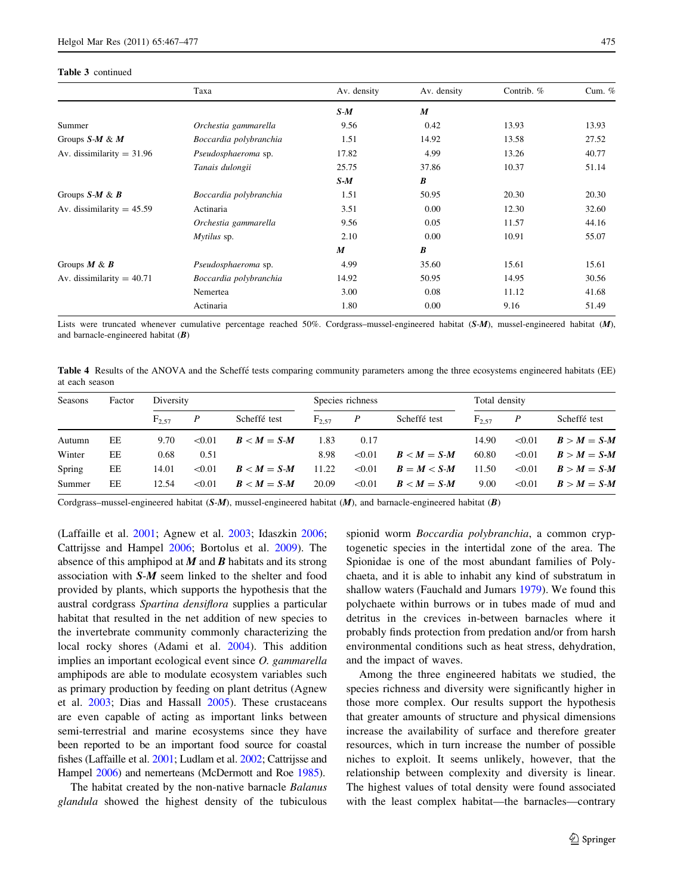#### <span id="page-8-0"></span>Table 3 continued

|                             | Taxa                   | Av. density | Av. density      | Contrib. %                                                                                                                                                               | Cum. $%$ |
|-----------------------------|------------------------|-------------|------------------|--------------------------------------------------------------------------------------------------------------------------------------------------------------------------|----------|
|                             |                        | $S-M$       | $\boldsymbol{M}$ |                                                                                                                                                                          |          |
| Summer                      | Orchestia gammarella   | 9.56        | 0.42             | 13.93                                                                                                                                                                    | 13.93    |
| Groups $S-M \& M$           | Boccardia polybranchia | 1.51        | 14.92            | 13.58                                                                                                                                                                    | 27.52    |
| Av. dissimilarity = $31.96$ | Pseudosphaeroma sp.    | 17.82       | 4.99             | 13.26                                                                                                                                                                    | 40.77    |
|                             | Tanais dulongii        | 25.75       | 37.86            | 10.37<br>B<br>20.30<br>50.95<br>0.00<br>12.30<br>0.05<br>11.57<br>10.91<br>0.00<br>$\boldsymbol{B}$<br>35.60<br>15.61<br>50.95<br>14.95<br>0.08<br>11.12<br>0.00<br>9.16 | 51.14    |
|                             |                        | $S-M$       |                  |                                                                                                                                                                          |          |
| Groups $S-M \& B$           | Boccardia polybranchia | 1.51        |                  |                                                                                                                                                                          | 20.30    |
| Av. dissimilarity = $45.59$ | Actinaria              | 3.51        |                  |                                                                                                                                                                          | 32.60    |
|                             | Orchestia gammarella   | 9.56        |                  |                                                                                                                                                                          | 44.16    |
|                             | Mytilus sp.            | 2.10        |                  | 55.07                                                                                                                                                                    |          |
|                             |                        | M           |                  |                                                                                                                                                                          |          |
| Groups $M \& B$             | Pseudosphaeroma sp.    | 4.99        |                  |                                                                                                                                                                          | 15.61    |
| Av. dissimilarity = $40.71$ | Boccardia polybranchia | 14.92       |                  |                                                                                                                                                                          | 30.56    |
|                             | Nemertea               | 3.00        |                  |                                                                                                                                                                          | 41.68    |
|                             | Actinaria              | 1.80        |                  |                                                                                                                                                                          | 51.49    |

Lists were truncated whenever cumulative percentage reached 50%. Cordgrass–mussel-engineered habitat (S-M), mussel-engineered habitat (M), and barnacle-engineered habitat  $(B)$ 

Table 4 Results of the ANOVA and the Scheffe tests comparing community parameters among the three ecosystems engineered habitats (EE) at each season

| Seasons | Factor | Diversity         |        |                |                   | Species richness |                | Total density |        |               |
|---------|--------|-------------------|--------|----------------|-------------------|------------------|----------------|---------------|--------|---------------|
|         |        | F <sub>2.57</sub> | P      | Scheffé test   | F <sub>2.57</sub> | P                | Scheffé test   | $F_{2.57}$    | P      | Scheffé test  |
| Autumn  | EE     | 9.70              | < 0.01 | $B < M = S$ -M | 1.83              | 0.17             |                | 14.90         | < 0.01 | $B > M = S-M$ |
| Winter  | EE     | 0.68              | 0.51   |                | 8.98              | < 0.01           | $B < M = S$ -M | 60.80         | < 0.01 | $B > M = S-M$ |
| Spring  | EE     | 14.01             | < 0.01 | $B < M = S$ -M | 11.22             | < 0.01           | $B = M < S$ -M | 11.50         | < 0.01 | $B > M = S-M$ |
| Summer  | EE     | 12.54             | < 0.01 | $B < M = S$ -M | 20.09             | < 0.01           | $B < M = S$ -M | 9.00          | < 0.01 | $B > M = S-M$ |

Cordgrass–mussel-engineered habitat  $(S-M)$ , mussel-engineered habitat  $(M)$ , and barnacle-engineered habitat  $(B)$ 

(Laffaille et al. [2001;](#page-10-0) Agnew et al. [2003;](#page-9-0) Idaszkin [2006](#page-10-0); Cattrijsse and Hampel [2006](#page-9-0); Bortolus et al. [2009\)](#page-9-0). The absence of this amphipod at  $M$  and  $B$  habitats and its strong association with S-M seem linked to the shelter and food provided by plants, which supports the hypothesis that the austral cordgrass Spartina densiflora supplies a particular habitat that resulted in the net addition of new species to the invertebrate community commonly characterizing the local rocky shores (Adami et al. [2004](#page-9-0)). This addition implies an important ecological event since O. gammarella amphipods are able to modulate ecosystem variables such as primary production by feeding on plant detritus (Agnew et al. [2003](#page-9-0); Dias and Hassall [2005](#page-10-0)). These crustaceans are even capable of acting as important links between semi-terrestrial and marine ecosystems since they have been reported to be an important food source for coastal fishes (Laffaille et al. [2001;](#page-10-0) Ludlam et al. [2002;](#page-10-0) Cattrijsse and Hampel [2006](#page-9-0)) and nemerteans (McDermott and Roe [1985](#page-10-0)).

The habitat created by the non-native barnacle *Balanus* glandula showed the highest density of the tubiculous spionid worm Boccardia polybranchia, a common cryptogenetic species in the intertidal zone of the area. The Spionidae is one of the most abundant families of Polychaeta, and it is able to inhabit any kind of substratum in shallow waters (Fauchald and Jumars [1979\)](#page-10-0). We found this polychaete within burrows or in tubes made of mud and detritus in the crevices in-between barnacles where it probably finds protection from predation and/or from harsh environmental conditions such as heat stress, dehydration, and the impact of waves.

Among the three engineered habitats we studied, the species richness and diversity were significantly higher in those more complex. Our results support the hypothesis that greater amounts of structure and physical dimensions increase the availability of surface and therefore greater resources, which in turn increase the number of possible niches to exploit. It seems unlikely, however, that the relationship between complexity and diversity is linear. The highest values of total density were found associated with the least complex habitat—the barnacles—contrary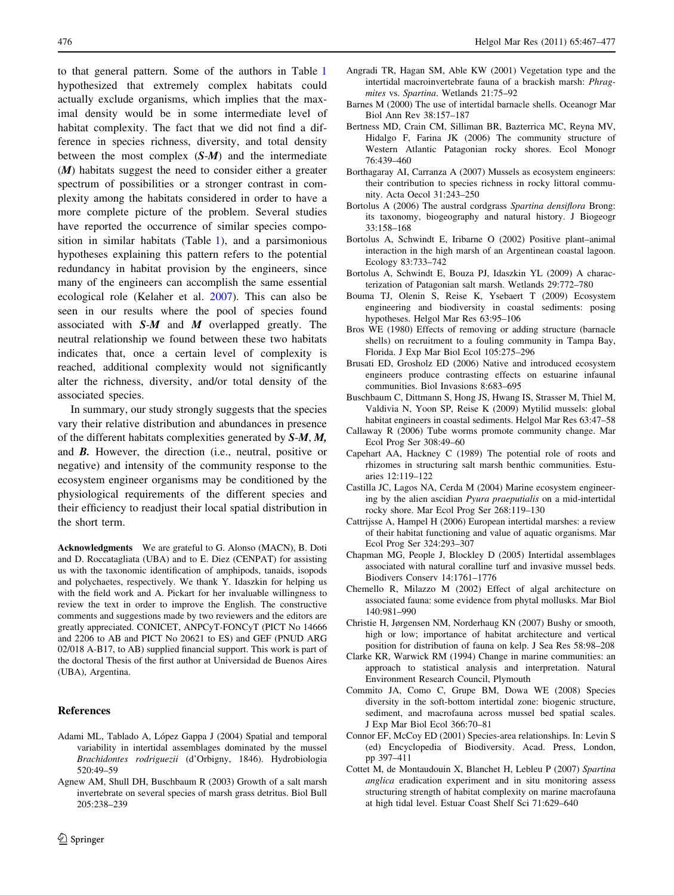<span id="page-9-0"></span>to that general pattern. Some of the authors in Table [1](#page-2-0) hypothesized that extremely complex habitats could actually exclude organisms, which implies that the maximal density would be in some intermediate level of habitat complexity. The fact that we did not find a difference in species richness, diversity, and total density between the most complex  $(S-M)$  and the intermediate (M) habitats suggest the need to consider either a greater spectrum of possibilities or a stronger contrast in complexity among the habitats considered in order to have a more complete picture of the problem. Several studies have reported the occurrence of similar species composition in similar habitats (Table [1](#page-2-0)), and a parsimonious hypotheses explaining this pattern refers to the potential redundancy in habitat provision by the engineers, since many of the engineers can accomplish the same essential ecological role (Kelaher et al. [2007\)](#page-10-0). This can also be seen in our results where the pool of species found associated with  $S-M$  and M overlapped greatly. The neutral relationship we found between these two habitats indicates that, once a certain level of complexity is reached, additional complexity would not significantly alter the richness, diversity, and/or total density of the associated species.

In summary, our study strongly suggests that the species vary their relative distribution and abundances in presence of the different habitats complexities generated by  $S-M$ ,  $M$ , and B. However, the direction (i.e., neutral, positive or negative) and intensity of the community response to the ecosystem engineer organisms may be conditioned by the physiological requirements of the different species and their efficiency to readjust their local spatial distribution in the short term.

Acknowledgments We are grateful to G. Alonso (MACN), B. Doti and D. Roccatagliata (UBA) and to E. Diez (CENPAT) for assisting us with the taxonomic identification of amphipods, tanaids, isopods and polychaetes, respectively. We thank Y. Idaszkin for helping us with the field work and A. Pickart for her invaluable willingness to review the text in order to improve the English. The constructive comments and suggestions made by two reviewers and the editors are greatly appreciated. CONICET, ANPCyT-FONCyT (PICT No 14666 and 2206 to AB and PICT No 20621 to ES) and GEF (PNUD ARG 02/018 A-B17, to AB) supplied financial support. This work is part of the doctoral Thesis of the first author at Universidad de Buenos Aires (UBA), Argentina.

## References

- Adami ML, Tablado A, López Gappa J (2004) Spatial and temporal variability in intertidal assemblages dominated by the mussel Brachidontes rodriguezii (d'Orbigny, 1846). Hydrobiologia 520:49–59
- Agnew AM, Shull DH, Buschbaum R (2003) Growth of a salt marsh invertebrate on several species of marsh grass detritus. Biol Bull 205:238–239
- Angradi TR, Hagan SM, Able KW (2001) Vegetation type and the intertidal macroinvertebrate fauna of a brackish marsh: Phragmites vs. Spartina. Wetlands 21:75–92
- Barnes M (2000) The use of intertidal barnacle shells. Oceanogr Mar Biol Ann Rev 38:157–187
- Bertness MD, Crain CM, Silliman BR, Bazterrica MC, Reyna MV, Hidalgo F, Farina JK (2006) The community structure of Western Atlantic Patagonian rocky shores. Ecol Monogr 76:439–460
- Borthagaray AI, Carranza A (2007) Mussels as ecosystem engineers: their contribution to species richness in rocky littoral community. Acta Oecol 31:243–250
- Bortolus A (2006) The austral cordgrass Spartina densiflora Brong: its taxonomy, biogeography and natural history. J Biogeogr 33:158–168
- Bortolus A, Schwindt E, Iribarne O (2002) Positive plant–animal interaction in the high marsh of an Argentinean coastal lagoon. Ecology 83:733–742
- Bortolus A, Schwindt E, Bouza PJ, Idaszkin YL (2009) A characterization of Patagonian salt marsh. Wetlands 29:772–780
- Bouma TJ, Olenin S, Reise K, Ysebaert T (2009) Ecosystem engineering and biodiversity in coastal sediments: posing hypotheses. Helgol Mar Res 63:95–106
- Bros WE (1980) Effects of removing or adding structure (barnacle shells) on recruitment to a fouling community in Tampa Bay, Florida. J Exp Mar Biol Ecol 105:275–296
- Brusati ED, Grosholz ED (2006) Native and introduced ecosystem engineers produce contrasting effects on estuarine infaunal communities. Biol Invasions 8:683–695
- Buschbaum C, Dittmann S, Hong JS, Hwang IS, Strasser M, Thiel M, Valdivia N, Yoon SP, Reise K (2009) Mytilid mussels: global habitat engineers in coastal sediments. Helgol Mar Res 63:47–58
- Callaway R (2006) Tube worms promote community change. Mar Ecol Prog Ser 308:49–60
- Capehart AA, Hackney C (1989) The potential role of roots and rhizomes in structuring salt marsh benthic communities. Estuaries 12:119–122
- Castilla JC, Lagos NA, Cerda M (2004) Marine ecosystem engineering by the alien ascidian Pyura praeputialis on a mid-intertidal rocky shore. Mar Ecol Prog Ser 268:119–130
- Cattrijsse A, Hampel H (2006) European intertidal marshes: a review of their habitat functioning and value of aquatic organisms. Mar Ecol Prog Ser 324:293–307
- Chapman MG, People J, Blockley D (2005) Intertidal assemblages associated with natural coralline turf and invasive mussel beds. Biodivers Conserv 14:1761–1776
- Chemello R, Milazzo M (2002) Effect of algal architecture on associated fauna: some evidence from phytal mollusks. Mar Biol 140:981–990
- Christie H, Jørgensen NM, Norderhaug KN (2007) Bushy or smooth, high or low; importance of habitat architecture and vertical position for distribution of fauna on kelp. J Sea Res 58:98–208
- Clarke KR, Warwick RM (1994) Change in marine communities: an approach to statistical analysis and interpretation. Natural Environment Research Council, Plymouth
- Commito JA, Como C, Grupe BM, Dowa WE (2008) Species diversity in the soft-bottom intertidal zone: biogenic structure, sediment, and macrofauna across mussel bed spatial scales. J Exp Mar Biol Ecol 366:70–81
- Connor EF, McCoy ED (2001) Species-area relationships. In: Levin S (ed) Encyclopedia of Biodiversity. Acad. Press, London, pp 397–411
- Cottet M, de Montaudouin X, Blanchet H, Lebleu P (2007) Spartina anglica eradication experiment and in situ monitoring assess structuring strength of habitat complexity on marine macrofauna at high tidal level. Estuar Coast Shelf Sci 71:629–640